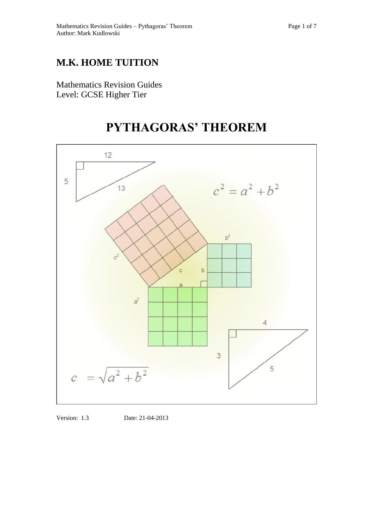# **M.K. HOME TUITION**

Mathematics Revision Guides Level: GCSE Higher Tier

# **PYTHAGORAS' THEOREM**



Version: 1.3 Date: 21-04-2013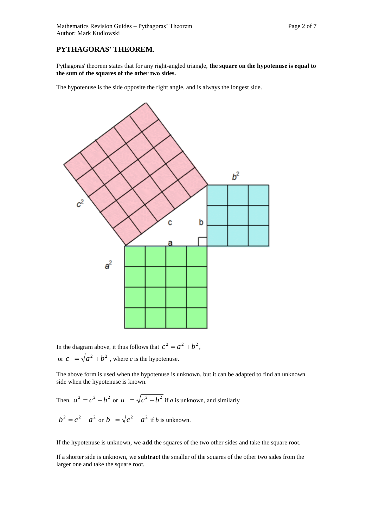## **PYTHAGORAS' THEOREM**.

Pythagoras' theorem states that for any right-angled triangle, **the square on the hypotenuse is equal to the sum of the squares of the other two sides.** 

The hypotenuse is the side opposite the right angle, and is always the longest side.



In the diagram above, it thus follows that  $c^2 = a^2 + b^2$ , or  $c = \sqrt{a^2 + b^2}$ , where *c* is the hypotenuse.

The above form is used when the hypotenuse is unknown, but it can be adapted to find an unknown side when the hypotenuse is known.

Then, 
$$
a^2 = c^2 - b^2
$$
 or  $a = \sqrt{c^2 - b^2}$  if *a* is unknown, and similarly  
\n
$$
b^2 = c^2 - a^2
$$
 or 
$$
b = \sqrt{c^2 - a^2}
$$
 if *b* is unknown.

If the hypotenuse is unknown, we **add** the squares of the two other sides and take the square root.

If a shorter side is unknown, we **subtract** the smaller of the squares of the other two sides from the larger one and take the square root.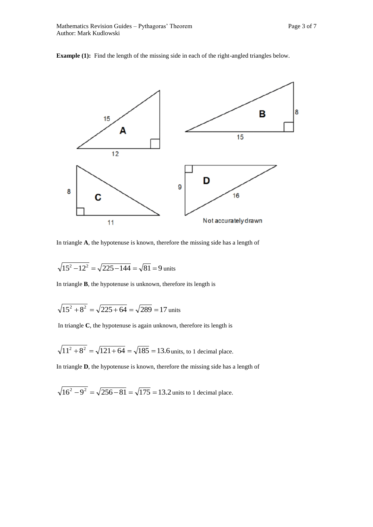



In triangle **A**, the hypotenuse is known, therefore the missing side has a length of

$$
\sqrt{15^2 - 12^2} = \sqrt{225 - 144} = \sqrt{81} = 9
$$
 units

In triangle **B**, the hypotenuse is unknown, therefore its length is

$$
\sqrt{15^2 + 8^2} = \sqrt{225 + 64} = \sqrt{289} = 17
$$
 units

In triangle **C**, the hypotenuse is again unknown, therefore its length is

$$
\sqrt{11^2 + 8^2} = \sqrt{121 + 64} = \sqrt{185} = 13.6
$$
 units, to 1 decimal place.

In triangle **D**, the hypotenuse is known, therefore the missing side has a length of

$$
\sqrt{16^2 - 9^2} = \sqrt{256 - 81} = \sqrt{175} = 13.2
$$
 units to 1 decimal place.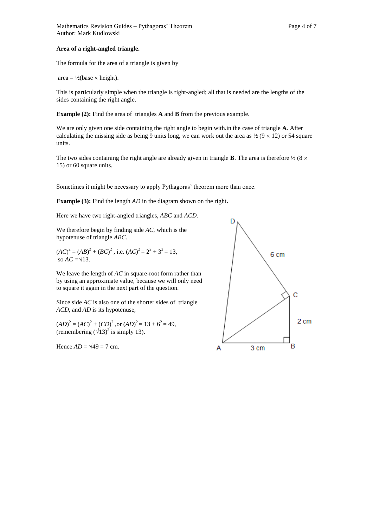### **Area of a right-angled triangle.**

The formula for the area of a triangle is given by

area =  $\frac{1}{2}$ (base  $\times$  height).

This is particularly simple when the triangle is right-angled; all that is needed are the lengths of the sides containing the right angle.

**Example (2):** Find the area of triangles **A** and **B** from the previous example.

We are only given one side containing the right angle to begin with.in the case of triangle **A**. After calculating the missing side as being 9 units long, we can work out the area as  $\frac{1}{2}$  (9  $\times$  12) or 54 square units.

The two sides containing the right angle are already given in triangle **B**. The area is therefore  $\frac{1}{2}$  (8  $\times$ 15) or 60 square units.

Sometimes it might be necessary to apply Pythagoras' theorem more than once.

**Example (3):** Find the length *AD* in the diagram shown on the right**.**

Here we have two right-angled triangles, *ABC* and *ACD.*

We therefore begin by finding side *AC*, which is the hypotenuse of triangle *ABC.*

 $(AC)^2 = (AB)^2 + (BC)^2$ , i.e.  $(AC)^2 = 2^2 + 3^2 = 13$ , so  $AC = \sqrt{13}$ .

We leave the length of *AC* in square-root form rather than by using an approximate value, because we will only need to square it again in the next part of the question.

Since side *AC* is also one of the shorter sides of triangle *ACD*, and *AD* is its hypotenuse,

 $(AD)^2 = (AC)^2 + (CD)^2$ , or  $(AD)^2 = 13 + 6^2 = 49$ , (remembering  $(\sqrt{13})^2$  is simply 13).

Hence  $AD = \sqrt{49} = 7$  cm.

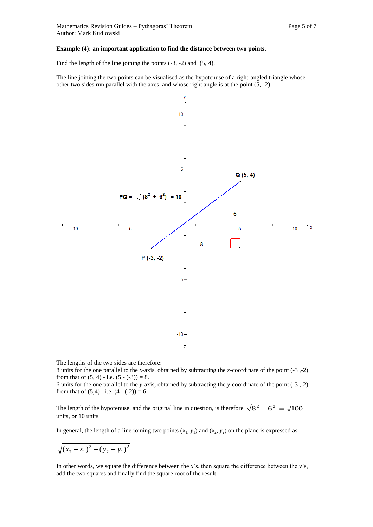### **Example (4): an important application to find the distance between two points.**

Find the length of the line joining the points (-3, -2) and (5, 4).

The line joining the two points can be visualised as the hypotenuse of a right-angled triangle whose other two sides run parallel with the axes and whose right angle is at the point (5, -2).



The lengths of the two sides are therefore:

8 units for the one parallel to the *x-*axis, obtained by subtracting the *x*-coordinate of the point (-3 ,-2) from that of  $(5, 4)$  - i.e.  $(5 - (-3)) = 8$ .

6 units for the one parallel to the *y-*axis, obtained by subtracting the *y*-coordinate of the point (-3 ,-2) from that of  $(5,4)$  - i.e.  $(4 - (-2)) = 6$ .

The length of the hypotenuse, and the original line in question, is therefore  $\sqrt{8^2 + 6^2} = \sqrt{100}$ units, or 10 units.

In general, the length of a line joining two points  $(x_1, y_1)$  and  $(x_2, y_2)$  on the plane is expressed as

$$
\sqrt{(x_2 - x_1)^2 + (y_2 - y_1)^2}
$$

In other words, we square the difference between the *x*'s, then square the difference between the *y*'s, add the two squares and finally find the square root of the result.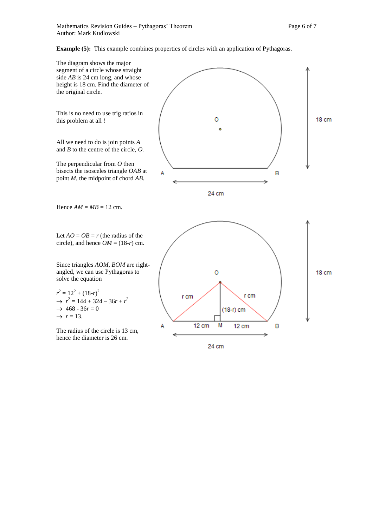**Example (5):** This example combines properties of circles with an application of Pythagoras.